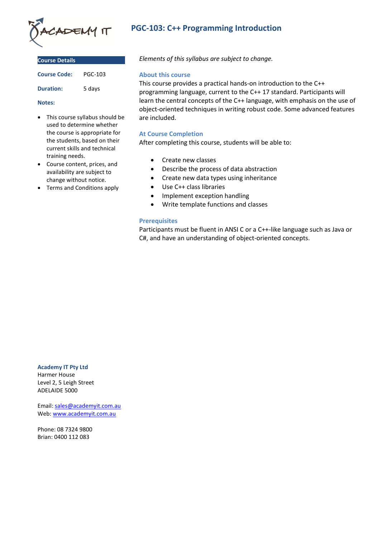

| <b>Course Details</b> |
|-----------------------|
|                       |

| <b>Course Code:</b> | <b>PGC-103</b> |
|---------------------|----------------|
| <b>Duration:</b>    | 5 days         |

**Notes:**

- This course syllabus should be used to determine whether the course is appropriate for the students, based on their current skills and technical training needs.
- Course content, prices, and availability are subject to change without notice.
- Terms and Conditions apply

# **PGC-103: C++ Programming Introduction**

*Elements of this syllabus are subject to change.*

## **About this course**

This course provides a practical hands-on introduction to the C++ programming language, current to the C++ 17 standard. Participants will learn the central concepts of the C++ language, with emphasis on the use of object-oriented techniques in writing robust code. Some advanced features are included.

## **At Course Completion**

After completing this course, students will be able to:

- Create new classes
- Describe the process of data abstraction
- Create new data types using inheritance
- Use C++ class libraries
- Implement exception handling
- Write template functions and classes

## **Prerequisites**

Participants must be fluent in ANSI C or a C++-like language such as Java or C#, and have an understanding of object-oriented concepts.

**Academy IT Pty Ltd**

Harmer House Level 2, 5 Leigh Street ADELAIDE 5000

Email: [sales@academyit.com.au](mailto:sales@academyit.com.au) Web: [www.academyit.com.au](http://www.academyit.com.au/)

Phone: 08 7324 9800 Brian: 0400 112 083